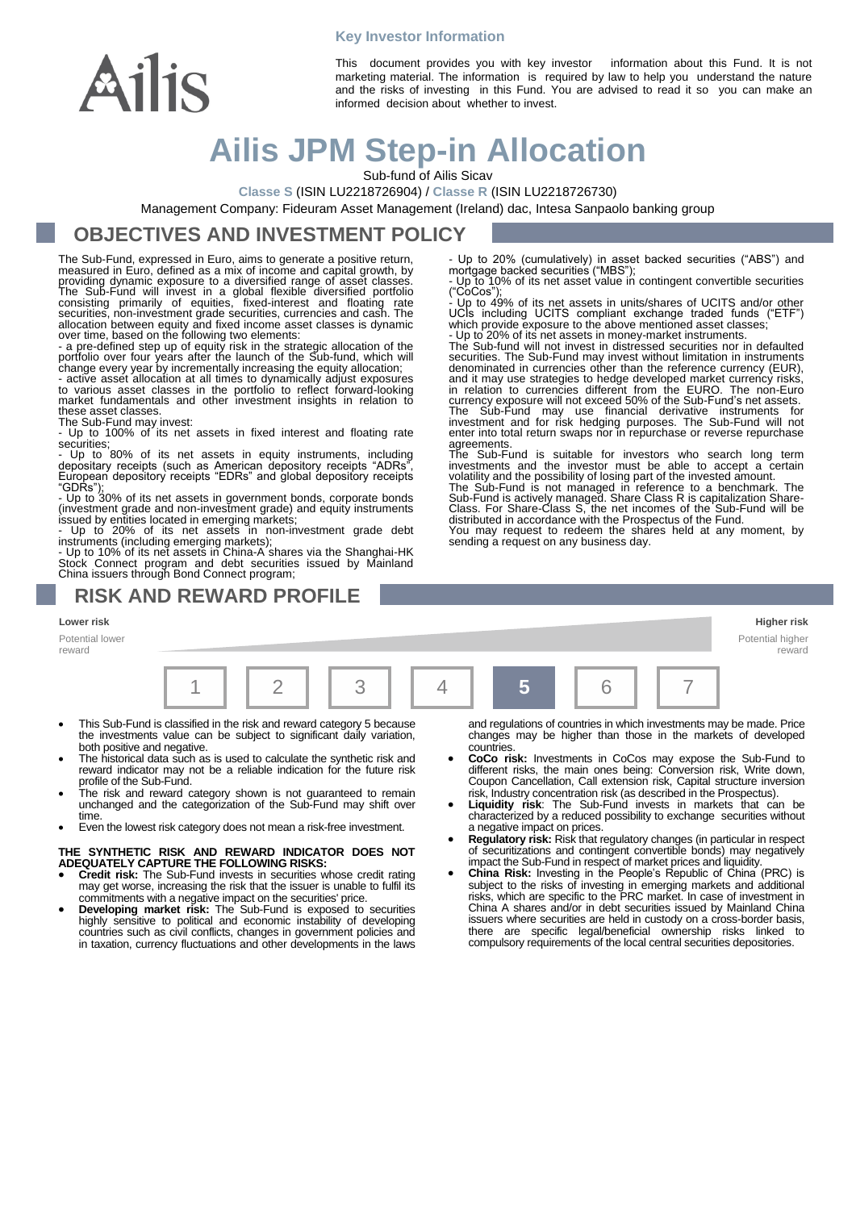#### **Key Investor Information**



This document provides you with key investor information about this Fund. It is not marketing material. The information is required by law to help you understand the nature and the risks of investing in this Fund. You are advised to read it so you can make an informed decision about whether to invest.

# **Ailis JPM Step-in Allocation**

Sub-fund of Ailis Sicav

**Classe S** (ISIN LU2218726904) / **Classe R** (ISIN LU2218726730)

Management Company: Fideuram Asset Management (Ireland) dac, Intesa Sanpaolo banking group

### **OBJECTIVES AND INVESTMENT POLICY**

The Sub-Fund, expressed in Euro, aims to generate a positive return, measured in Euro, defined as a mix of income and capital growth, by providing dynamic exposure to a diversified range of asset classes. The Sub-Fund will invest in a global flexible diversified portfolio<br>consisting primarily of equities, fixed-interest and floating rate<br>securities, non-investment grade securities, currencies and cash. The

allocation between equity and fixed income asset classes is dynamic<br>over time, based on the following two elements:<br>- a pre-defined step up of equity risk in the strategic allocation of the<br>portfolio over four years after

to various asset classes in the portfolio to reflect forward-looking market fundamentals and other investment insights in relation to these asset classes.

The Sub-Fund may invest: - Up to 100% of its net assets in fixed interest and floating rate securities;

Up to 80% of its net assets in equity instruments, including depositary receipts (such as American depository receipts "ADRs", European depository receipts "EDRs" and global depository receipts

"GDRs");<br>- Up to 30% of its net assets in government bonds, corporate bonds<br>(investment grade and non-investment grade) and equity instruments<br>issued by entities located in emerging markets;<br>- Up to 20% of its net assets i

Stock Connect program and debt securities issued by Mainland China issuers through Bond Connect program;

### **RISK AND REWARD PROFILE**

**Lower risk Higher risk**

Potential lower reward



- This Sub-Fund is classified in the risk and reward category 5 because the investments value can be subject to significant daily variation, both positive and negative.
- The historical data such as is used to calculate the synthetic risk and reward indicator may not be a reliable indication for the future risk profile of the Sub-Fund.
- The risk and reward category shown is not guaranteed to remain unchanged and the categorization of the Sub-Fund may shift over time.
- Even the lowest risk category does not mean a risk-free investment.

## **THE SYNTHETIC RISK AND REWARD INDICATOR DOES NOT ADEQUATELY CAPTURE THE FOLLOWING RISKS:**

- **Credit risk:** The Sub-Fund invests in securities whose credit rating may get worse, increasing the risk that the issuer is unable to fulfil its commitments with a negative impact on the securities' price.
- **Developing market risk:** The Sub-Fund is exposed to securities highly sensitive to political and economic instability of developing countries such as civil conflicts, changes in government policies and in taxation, currency fluctuations and other developments in the laws

and regulations of countries in which investments may be made. Price changes may be higher than those in the markets of developed countries.

Potential higher reward

- **CoCo risk:** Investments in CoCos may expose the Sub-Fund to different risks, the main ones being: Conversion risk, Write down, Coupon Cancellation, Call extension risk, Capital structure inversion
- risk, Industry concentration risk (as described in the Prospectus). **Liquidity risk**: The Sub-Fund invests in markets that can be characterized by a reduced possibility to exchange securities without a negative impact on prices.
- **Regulatory risk:** Risk that regulatory changes (in particular in respect of securitizations and contingent convertible bonds) may negatively
- impact the Sub-Fund in respect of market prices and liquidity.<br>
 China Risk: Investing in the People's Republic of China (PRC) is<br>
subject to the risks of investing in emerging markets and additional<br>
risks, which are spe China A shares and/or in debt securities issued by Mainland China issuers where securities are held in custody on a cross-border basis, there are specific legal/beneficial ownership risks linked to compulsory requirements of the local central securities depositories.

- Up to 20% (cumulatively) in asset backed securities ("ABS") and mortgage backed securities ("MBS"); Up to 10% of its net asset value in contingent convertible securities

("CoCos"); - Up to 49% of its net assets in units/shares of UCITS and/or other

UCIs including UCITS compliant exchange traded funds ("ETF") which provide exposure to the above mentioned asset classes; - Up to 20% of its net assets in money-market instruments.

The Sub-fund will not invest in distressed securities nor in defaulted securities. The Sub-Fund may invest without limitation in instruments denominated in currencies other than the reference currency (EUR), and it may use strategies to hedge developed market currency risks, in relation to currencies different from the EURO. The non-Euro currency exposure will not exceed 50% of the Sub-Fund's net assets. The Sub-Fund may use financial derivative instruments for<br>investment and for risk hedging purposes. The Sub-Fund will not<br>enter into total return swaps nor in repurchase or reverse repurchase

agreements.<br>The Sub-Fund is suitable for investors who search long term<br>investments and the investor must be able to accept a certain<br>investments and the possibility of losing part of the invested amount.<br>The Sub-Fund is n

You may request to redeem the shares held at any moment, by sending a request on any business day.